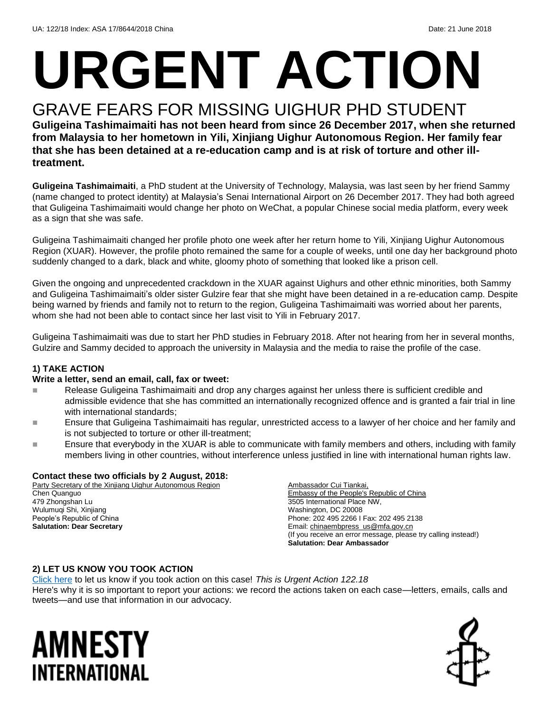# **URGENT ACTION**

## GRAVE FEARS FOR MISSING UIGHUR PHD STUDENT

**Guligeina Tashimaimaiti has not been heard from since 26 December 2017, when she returned from Malaysia to her hometown in Yili, Xinjiang Uighur Autonomous Region. Her family fear that she has been detained at a re-education camp and is at risk of torture and other illtreatment.**

**Guligeina Tashimaimaiti**, a PhD student at the University of Technology, Malaysia, was last seen by her friend Sammy (name changed to protect identity) at Malaysia's Senai International Airport on 26 December 2017. They had both agreed that Guligeina Tashimaimaiti would change her photo on WeChat, a popular Chinese social media platform, every week as a sign that she was safe.

Guligeina Tashimaimaiti changed her profile photo one week after her return home to Yili, Xinjiang Uighur Autonomous Region (XUAR). However, the profile photo remained the same for a couple of weeks, until one day her background photo suddenly changed to a dark, black and white, gloomy photo of something that looked like a prison cell.

Given the ongoing and unprecedented crackdown in the XUAR against Uighurs and other ethnic minorities, both Sammy and Guligeina Tashimaimaiti's older sister Gulzire fear that she might have been detained in a re-education camp. Despite being warned by friends and family not to return to the region, Guligeina Tashimaimaiti was worried about her parents, whom she had not been able to contact since her last visit to Yili in February 2017.

Guligeina Tashimaimaiti was due to start her PhD studies in February 2018. After not hearing from her in several months, Gulzire and Sammy decided to approach the university in Malaysia and the media to raise the profile of the case.

#### **1) TAKE ACTION**

#### **Write a letter, send an email, call, fax or tweet:**

- Release Guligeina Tashimaimaiti and drop any charges against her unless there is sufficient credible and admissible evidence that she has committed an internationally recognized offence and is granted a fair trial in line with international standards;
- Ensure that Guligeina Tashimaimaiti has regular, unrestricted access to a lawyer of her choice and her family and is not subjected to torture or other ill-treatment;
- Ensure that everybody in the XUAR is able to communicate with family members and others, including with family members living in other countries, without interference unless justified in line with international human rights law.

#### **Contact these two officials by 2 August, 2018:**

Party Secretary of the Xinjiang Uighur Autonomous Region Chen Quanguo 479 Zhongshan Lu Wulumuqi Shi, Xinjiang People's Republic of China **Salutation: Dear Secretary**

Ambassador Cui Tiankai, Embassy of the People's Republic of China 3505 International Place NW, Washington, DC 20008 Phone: 202 495 2266 I Fax: 202 495 2138 Email: [chinaembpress\\_us@mfa.gov.cn](chinaembpress_us@mfa.gov.cn) (If you receive an error message, please try calling instead!) **Salutation: Dear Ambassador**

#### **2) LET US KNOW YOU TOOK ACTION**

[Click here](https://www.amnestyusa.org/report-urgent-actions/) to let us know if you took action on this case! *This is Urgent Action 122.18* Here's why it is so important to report your actions: we record the actions taken on each case—letters, emails, calls and tweets—and use that information in our advocacy.